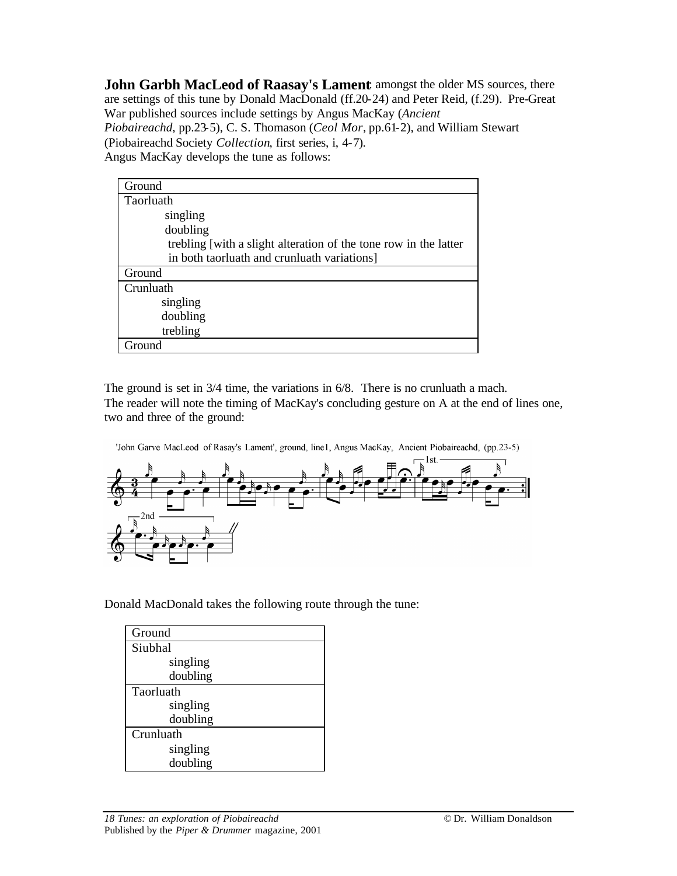**John Garbh MacLeod of Raasay's Lament** amongst the older MS sources, there are settings of this tune by Donald MacDonald (ff.20-24) and Peter Reid, (f.29). Pre-Great War published sources include settings by Angus MacKay (*Ancient Piobaireachd*, pp.23-5), C. S. Thomason (*Ceol Mor*, pp.61-2), and William Stewart (Piobaireachd Society *Collection*, first series, i, 4-7). Angus MacKay develops the tune as follows:

| Ground                                                           |
|------------------------------------------------------------------|
| <b>Taorluath</b>                                                 |
| singling                                                         |
| doubling                                                         |
| trebling [with a slight alteration of the tone row in the latter |
| in both taorluath and crunluath variations]                      |
| Ground                                                           |
| Crunluath                                                        |
| singling                                                         |
| doubling                                                         |
| trebling                                                         |
| Ground                                                           |

The ground is set in 3/4 time, the variations in 6/8. There is no crunluath a mach. The reader will note the timing of MacKay's concluding gesture on A at the end of lines one, two and three of the ground:

'John Garve MacLeod of Rasay's Lament', ground, line1, Angus MacKay, Ancient Piobaireachd, (pp.23-5)



Donald MacDonald takes the following route through the tune:

| Ground    |
|-----------|
| Siubhal   |
| singling  |
| doubling  |
| Taorluath |
| singling  |
| doubling  |
| Crunluath |
| singling  |
| doubling  |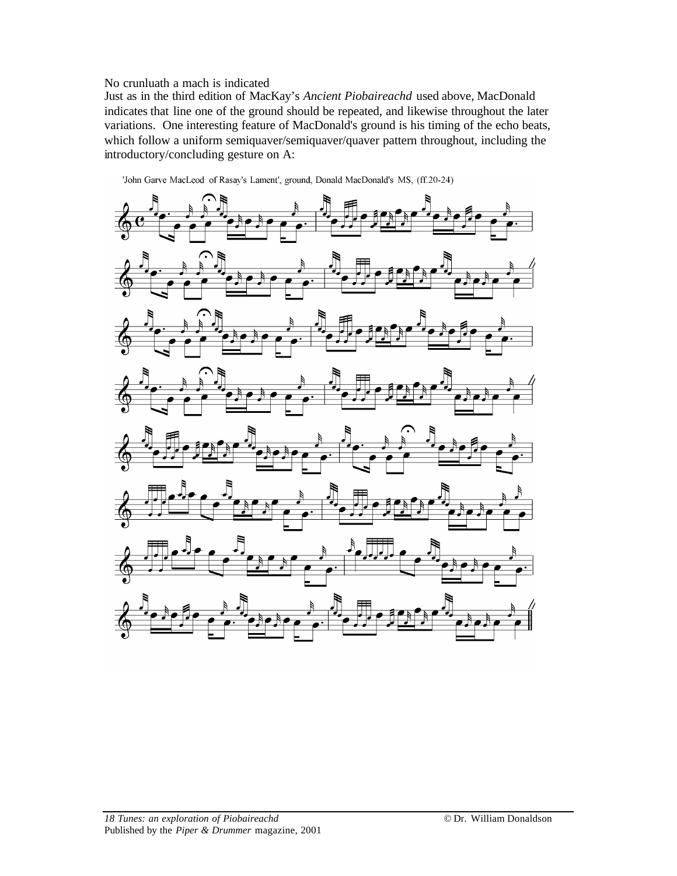## No crunluath a mach is indicated

Just as in the third edition of MacKay's *Ancient Piobaireachd* used above, MacDonald indicates that line one of the ground should be repeated, and likewise throughout the later variations. One interesting feature of MacDonald's ground is his timing of the echo beats, which follow a uniform semiquaver/semiquaver/quaver pattern throughout, including the introductory/concluding gesture on A:



'John Garve MacLeod of Rasay's Lament', ground, Donald MacDonald's MS, (ff.20-24)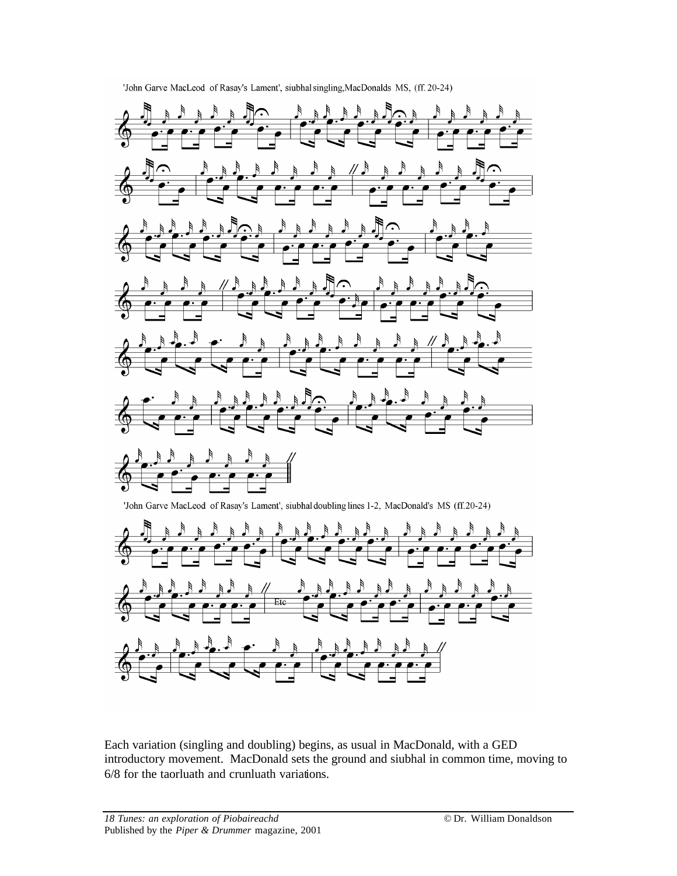



Each variation (singling and doubling) begins, as usual in MacDonald, with a GED introductory movement. MacDonald sets the ground and siubhal in common time, moving to 6/8 for the taorluath and crunluath variations.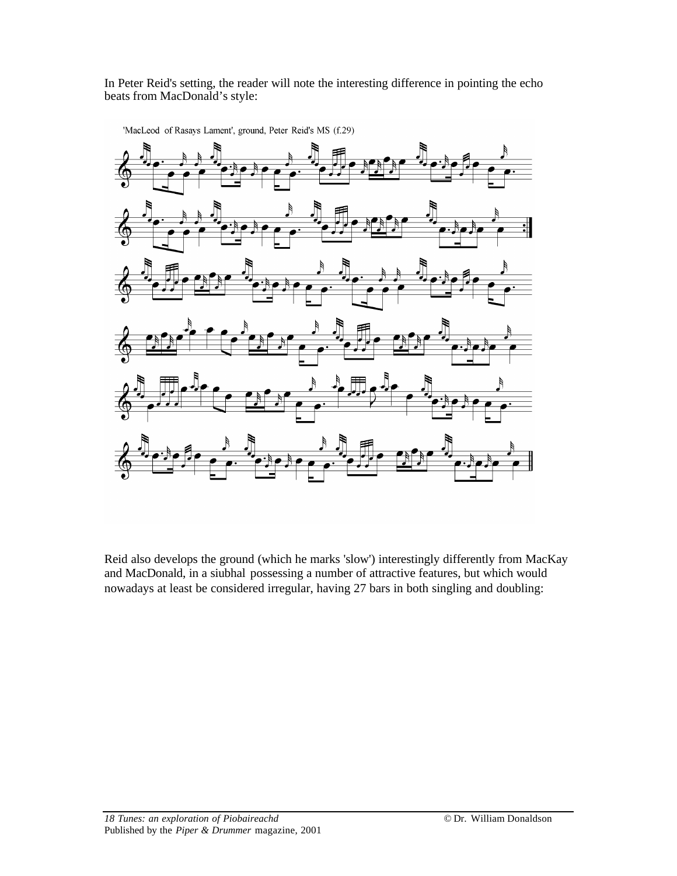In Peter Reid's setting, the reader will note the interesting difference in pointing the echo beats from MacDonald's style:



'MacLeod of Rasays Lament', ground, Peter Reid's MS (f.29)

Reid also develops the ground (which he marks 'slow') interestingly differently from MacKay and MacDonald, in a siubhal possessing a number of attractive features, but which would nowadays at least be considered irregular, having 27 bars in both singling and doubling: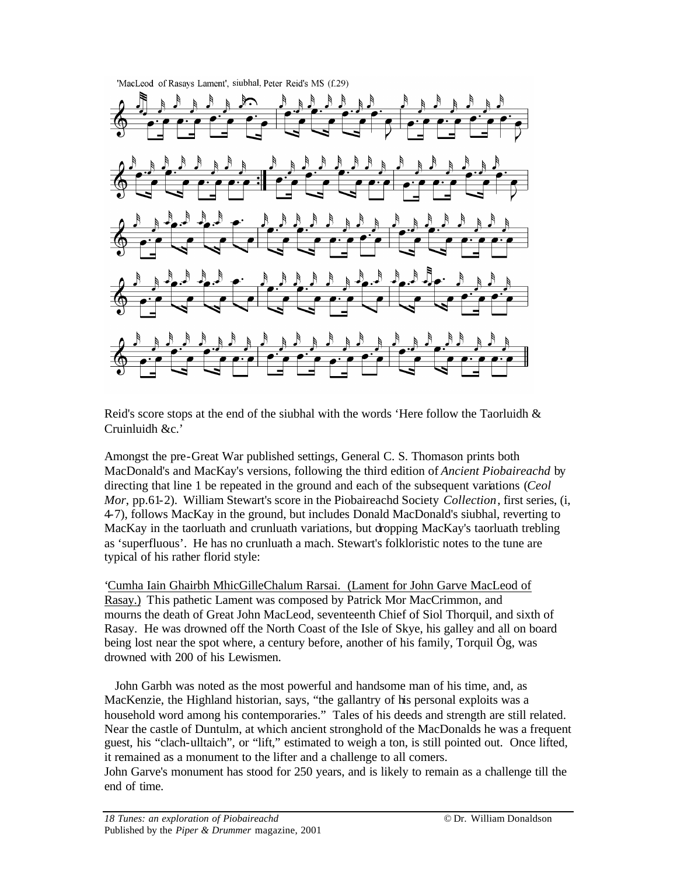

Reid's score stops at the end of the siubhal with the words 'Here follow the Taorluidh  $\&$ Cruinluidh &c.'

Amongst the pre-Great War published settings, General C. S. Thomason prints both MacDonald's and MacKay's versions, following the third edition of *Ancient Piobaireachd* by directing that line 1 be repeated in the ground and each of the subsequent variations (*Ceol Mor*, pp.61-2). William Stewart's score in the Piobaireachd Society *Collection*, first series, (i, 4-7), follows MacKay in the ground, but includes Donald MacDonald's siubhal, reverting to MacKay in the taorluath and crunluath variations, but dropping MacKay's taorluath trebling as 'superfluous'. He has no crunluath a mach. Stewart's folkloristic notes to the tune are typical of his rather florid style:

'Cumha Iain Ghairbh MhicGilleChalum Rarsai. (Lament for John Garve MacLeod of Rasay.) This pathetic Lament was composed by Patrick Mor MacCrimmon, and mourns the death of Great John MacLeod, seventeenth Chief of Siol Thorquil, and sixth of Rasay. He was drowned off the North Coast of the Isle of Skye, his galley and all on board being lost near the spot where, a century before, another of his family, Torquil Òg, was drowned with 200 of his Lewismen.

 John Garbh was noted as the most powerful and handsome man of his time, and, as MacKenzie, the Highland historian, says, "the gallantry of his personal exploits was a household word among his contemporaries." Tales of his deeds and strength are still related. Near the castle of Duntulm, at which ancient stronghold of the MacDonalds he was a frequent guest, his "clach-ulltaich", or "lift," estimated to weigh a ton, is still pointed out. Once lifted, it remained as a monument to the lifter and a challenge to all comers. John Garve's monument has stood for 250 years, and is likely to remain as a challenge till the

end of time.